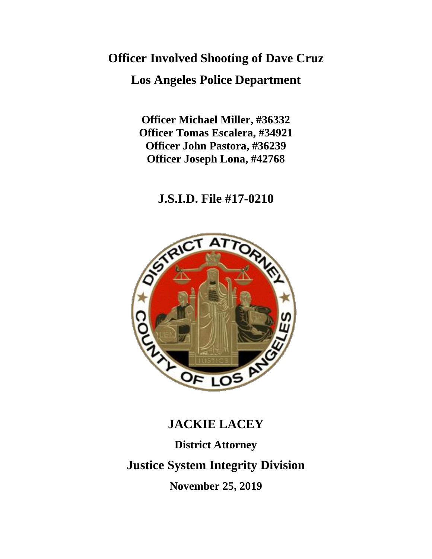# **Officer Involved Shooting of Dave Cruz Los Angeles Police Department**

**Officer Michael Miller, #36332 Officer Tomas Escalera, #34921 Officer John Pastora, #36239 Officer Joseph Lona, #42768**

# **J.S.I.D. File #17-0210**



# **JACKIE LACEY**

**District Attorney Justice System Integrity Division November 25, 2019**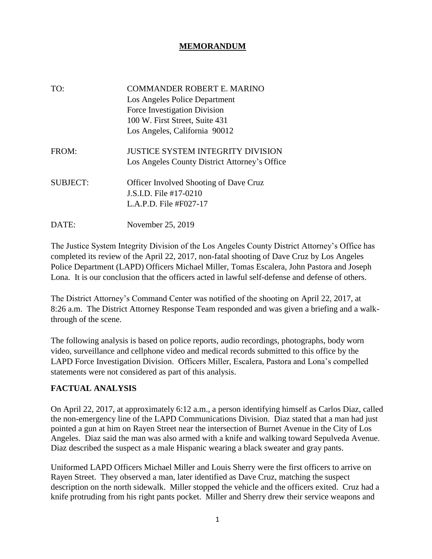## **MEMORANDUM**

| TO:             | COMMANDER ROBERT E. MARINO<br>Los Angeles Police Department<br>Force Investigation Division<br>100 W. First Street, Suite 431<br>Los Angeles, California 90012 |
|-----------------|----------------------------------------------------------------------------------------------------------------------------------------------------------------|
| FROM:           | <b>JUSTICE SYSTEM INTEGRITY DIVISION</b><br>Los Angeles County District Attorney's Office                                                                      |
| <b>SUBJECT:</b> | <b>Officer Involved Shooting of Dave Cruz</b><br>J.S.I.D. File #17-0210<br>L.A.P.D. File #F027-17                                                              |
| DATE:           | November 25, 2019                                                                                                                                              |

The Justice System Integrity Division of the Los Angeles County District Attorney's Office has completed its review of the April 22, 2017, non-fatal shooting of Dave Cruz by Los Angeles Police Department (LAPD) Officers Michael Miller, Tomas Escalera, John Pastora and Joseph Lona. It is our conclusion that the officers acted in lawful self-defense and defense of others.

The District Attorney's Command Center was notified of the shooting on April 22, 2017, at 8:26 a.m. The District Attorney Response Team responded and was given a briefing and a walkthrough of the scene.

The following analysis is based on police reports, audio recordings, photographs, body worn video, surveillance and cellphone video and medical records submitted to this office by the LAPD Force Investigation Division. Officers Miller, Escalera, Pastora and Lona's compelled statements were not considered as part of this analysis.

### **FACTUAL ANALYSIS**

On April 22, 2017, at approximately 6:12 a.m., a person identifying himself as Carlos Diaz, called the non-emergency line of the LAPD Communications Division. Diaz stated that a man had just pointed a gun at him on Rayen Street near the intersection of Burnet Avenue in the City of Los Angeles. Diaz said the man was also armed with a knife and walking toward Sepulveda Avenue. Diaz described the suspect as a male Hispanic wearing a black sweater and gray pants.

Uniformed LAPD Officers Michael Miller and Louis Sherry were the first officers to arrive on Rayen Street. They observed a man, later identified as Dave Cruz, matching the suspect description on the north sidewalk. Miller stopped the vehicle and the officers exited. Cruz had a knife protruding from his right pants pocket. Miller and Sherry drew their service weapons and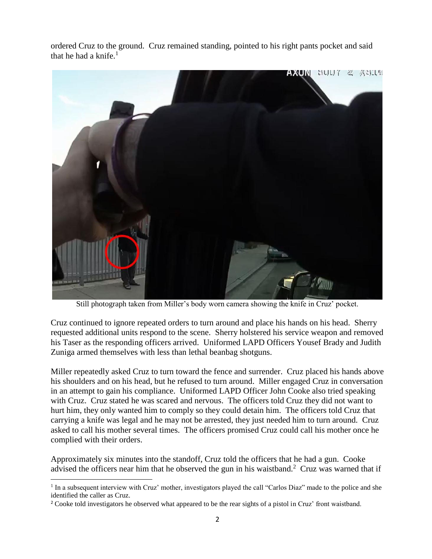ordered Cruz to the ground. Cruz remained standing, pointed to his right pants pocket and said that he had a knife. $<sup>1</sup>$ </sup>



Still photograph taken from Miller's body worn camera showing the knife in Cruz' pocket.

Cruz continued to ignore repeated orders to turn around and place his hands on his head. Sherry requested additional units respond to the scene. Sherry holstered his service weapon and removed his Taser as the responding officers arrived. Uniformed LAPD Officers Yousef Brady and Judith Zuniga armed themselves with less than lethal beanbag shotguns.

Miller repeatedly asked Cruz to turn toward the fence and surrender. Cruz placed his hands above his shoulders and on his head, but he refused to turn around. Miller engaged Cruz in conversation in an attempt to gain his compliance. Uniformed LAPD Officer John Cooke also tried speaking with Cruz. Cruz stated he was scared and nervous. The officers told Cruz they did not want to hurt him, they only wanted him to comply so they could detain him. The officers told Cruz that carrying a knife was legal and he may not be arrested, they just needed him to turn around. Cruz asked to call his mother several times. The officers promised Cruz could call his mother once he complied with their orders.

Approximately six minutes into the standoff, Cruz told the officers that he had a gun. Cooke advised the officers near him that he observed the gun in his waistband.<sup>2</sup> Cruz was warned that if

<sup>&</sup>lt;sup>1</sup> In a subsequent interview with Cruz' mother, investigators played the call "Carlos Diaz" made to the police and she identified the caller as Cruz.

<sup>&</sup>lt;sup>2</sup> Cooke told investigators he observed what appeared to be the rear sights of a pistol in Cruz' front waistband.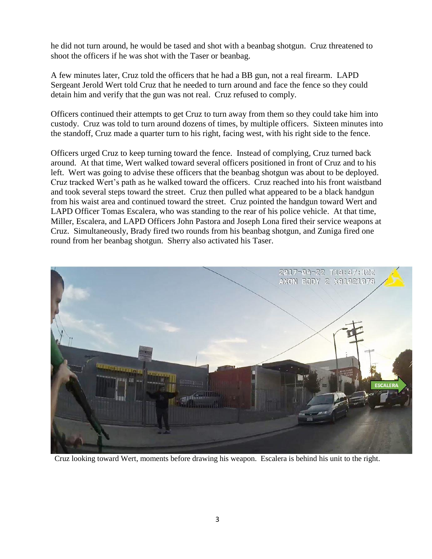he did not turn around, he would be tased and shot with a beanbag shotgun. Cruz threatened to shoot the officers if he was shot with the Taser or beanbag.

A few minutes later, Cruz told the officers that he had a BB gun, not a real firearm. LAPD Sergeant Jerold Wert told Cruz that he needed to turn around and face the fence so they could detain him and verify that the gun was not real. Cruz refused to comply.

Officers continued their attempts to get Cruz to turn away from them so they could take him into custody. Cruz was told to turn around dozens of times, by multiple officers. Sixteen minutes into the standoff, Cruz made a quarter turn to his right, facing west, with his right side to the fence.

Officers urged Cruz to keep turning toward the fence. Instead of complying, Cruz turned back around. At that time, Wert walked toward several officers positioned in front of Cruz and to his left. Wert was going to advise these officers that the beanbag shotgun was about to be deployed. Cruz tracked Wert's path as he walked toward the officers. Cruz reached into his front waistband and took several steps toward the street. Cruz then pulled what appeared to be a black handgun from his waist area and continued toward the street. Cruz pointed the handgun toward Wert and LAPD Officer Tomas Escalera, who was standing to the rear of his police vehicle. At that time, Miller, Escalera, and LAPD Officers John Pastora and Joseph Lona fired their service weapons at Cruz. Simultaneously, Brady fired two rounds from his beanbag shotgun, and Zuniga fired one round from her beanbag shotgun. Sherry also activated his Taser.



Cruz looking toward Wert, moments before drawing his weapon. Escalera is behind his unit to the right.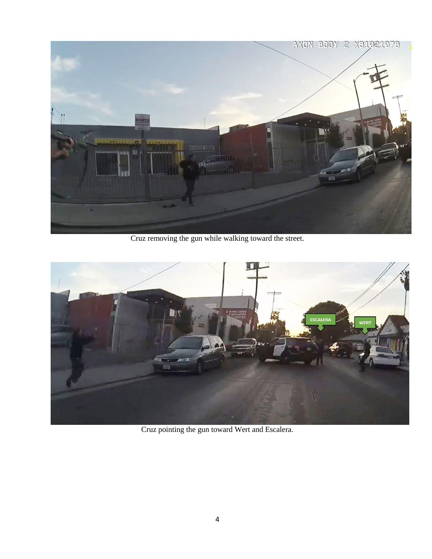

Cruz removing the gun while walking toward the street.



Cruz pointing the gun toward Wert and Escalera.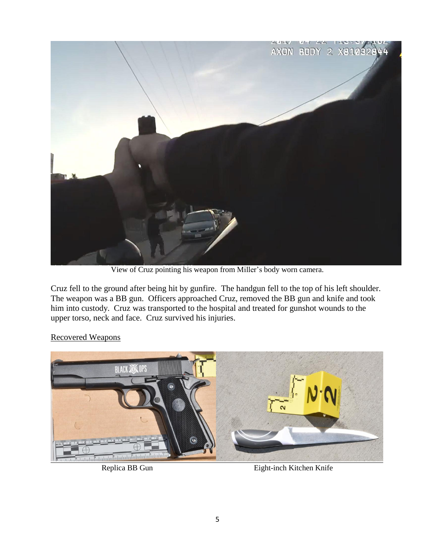

View of Cruz pointing his weapon from Miller's body worn camera.

Cruz fell to the ground after being hit by gunfire. The handgun fell to the top of his left shoulder. The weapon was a BB gun. Officers approached Cruz, removed the BB gun and knife and took him into custody. Cruz was transported to the hospital and treated for gunshot wounds to the upper torso, neck and face. Cruz survived his injuries.

#### Recovered Weapons



Replica BB Gun Eight-inch Kitchen Knife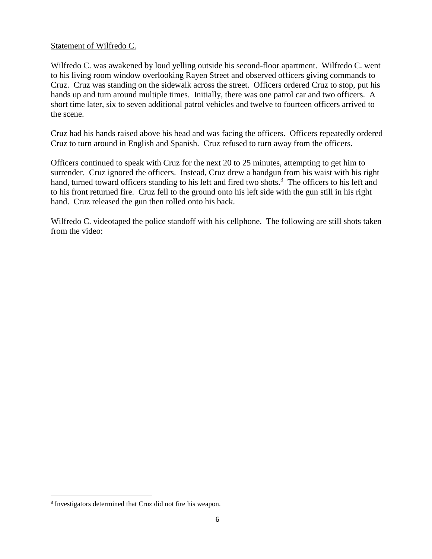#### Statement of Wilfredo C.

Wilfredo C. was awakened by loud yelling outside his second-floor apartment. Wilfredo C. went to his living room window overlooking Rayen Street and observed officers giving commands to Cruz. Cruz was standing on the sidewalk across the street. Officers ordered Cruz to stop, put his hands up and turn around multiple times. Initially, there was one patrol car and two officers. A short time later, six to seven additional patrol vehicles and twelve to fourteen officers arrived to the scene.

Cruz had his hands raised above his head and was facing the officers. Officers repeatedly ordered Cruz to turn around in English and Spanish. Cruz refused to turn away from the officers.

Officers continued to speak with Cruz for the next 20 to 25 minutes, attempting to get him to surrender. Cruz ignored the officers. Instead, Cruz drew a handgun from his waist with his right hand, turned toward officers standing to his left and fired two shots.<sup>3</sup> The officers to his left and to his front returned fire. Cruz fell to the ground onto his left side with the gun still in his right hand. Cruz released the gun then rolled onto his back.

Wilfredo C. videotaped the police standoff with his cellphone. The following are still shots taken from the video:

<sup>&</sup>lt;sup>3</sup> Investigators determined that Cruz did not fire his weapon.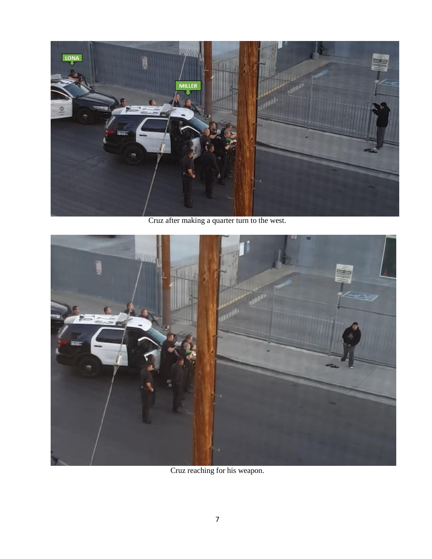

Cruz after making a quarter turn to the west.



Cruz reaching for his weapon.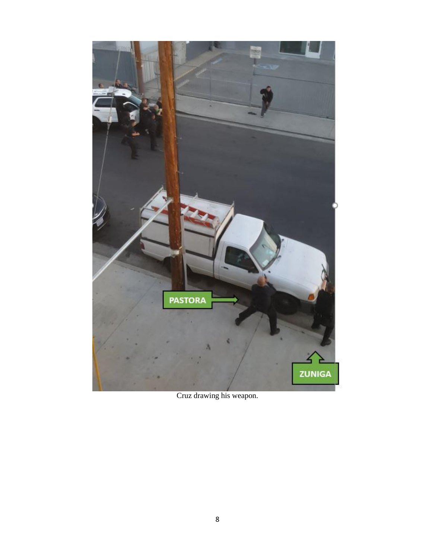

Cruz drawing his weapon.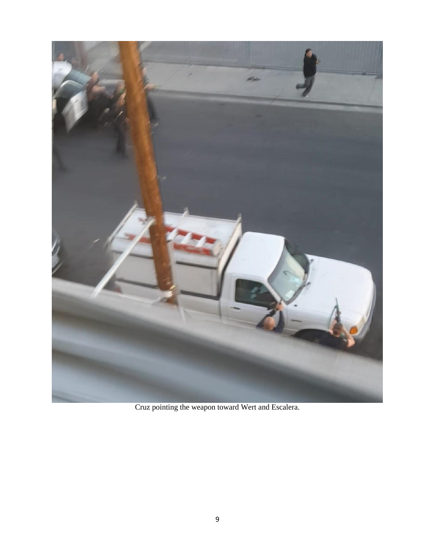

Cruz pointing the weapon toward Wert and Escalera.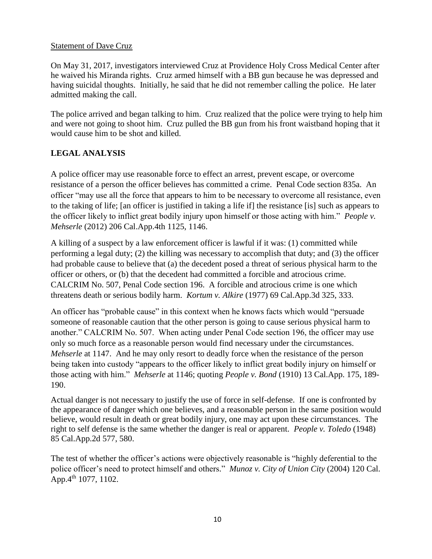#### Statement of Dave Cruz

On May 31, 2017, investigators interviewed Cruz at Providence Holy Cross Medical Center after he waived his Miranda rights. Cruz armed himself with a BB gun because he was depressed and having suicidal thoughts. Initially, he said that he did not remember calling the police. He later admitted making the call.

The police arrived and began talking to him. Cruz realized that the police were trying to help him and were not going to shoot him. Cruz pulled the BB gun from his front waistband hoping that it would cause him to be shot and killed.

## **LEGAL ANALYSIS**

A police officer may use reasonable force to effect an arrest, prevent escape, or overcome resistance of a person the officer believes has committed a crime. Penal Code section 835a. An officer "may use all the force that appears to him to be necessary to overcome all resistance, even to the taking of life; [an officer is justified in taking a life if] the resistance [is] such as appears to the officer likely to inflict great bodily injury upon himself or those acting with him." *People v. Mehserle* (2012) 206 Cal.App.4th 1125, 1146.

A killing of a suspect by a law enforcement officer is lawful if it was: (1) committed while performing a legal duty; (2) the killing was necessary to accomplish that duty; and (3) the officer had probable cause to believe that (a) the decedent posed a threat of serious physical harm to the officer or others, or (b) that the decedent had committed a forcible and atrocious crime. CALCRIM No. 507, Penal Code section 196. A forcible and atrocious crime is one which threatens death or serious bodily harm. *Kortum v. Alkire* (1977) 69 Cal.App.3d 325, 333.

An officer has "probable cause" in this context when he knows facts which would "persuade someone of reasonable caution that the other person is going to cause serious physical harm to another." CALCRIM No. 507. When acting under Penal Code section 196, the officer may use only so much force as a reasonable person would find necessary under the circumstances. *Mehserle* at 1147. And he may only resort to deadly force when the resistance of the person being taken into custody "appears to the officer likely to inflict great bodily injury on himself or those acting with him." *Mehserle* at 1146; quoting *People v. Bond* (1910) 13 Cal.App. 175, 189- 190.

Actual danger is not necessary to justify the use of force in self-defense. If one is confronted by the appearance of danger which one believes, and a reasonable person in the same position would believe, would result in death or great bodily injury, one may act upon these circumstances. The right to self defense is the same whether the danger is real or apparent. *People v. Toledo* (1948) 85 Cal.App.2d 577, 580.

The test of whether the officer's actions were objectively reasonable is "highly deferential to the police officer's need to protect himself and others." *Munoz v. City of Union City* (2004) 120 Cal. App.4<sup>th</sup> 1077, 1102.